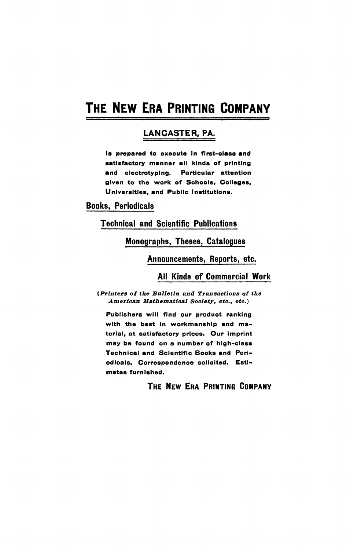# **THE NEW ERA PRINTING COMPANY**

# **LANCASTER, PA.**

Is prepared to execute in first-class **and**  satisfactory manner all kinds of printing **and** electrotyping. Particular attention given to the work of Schools, Colleges, Universities, and Public Institutions.

**Books, Periodicals** 

**Technical and Scientific Publications** 

## **Monographs, Theses, Catalogues**

**Announcements, Reports, etc.** 

#### **All Kinds of Commercial Work**

*{Printers of the Bulletin and Transactions of the American Mathematical Society, etc., etc.)* 

Publishers will find our product ranking with the best in workmanship and material, at satisfactory prices. Our imprint may be found on a number of high-class Technical and Scientific Books and Periodicals, Correspondence solicited. Estimates furnished.

# **THE NEW ERA PRINTING COMPANY**